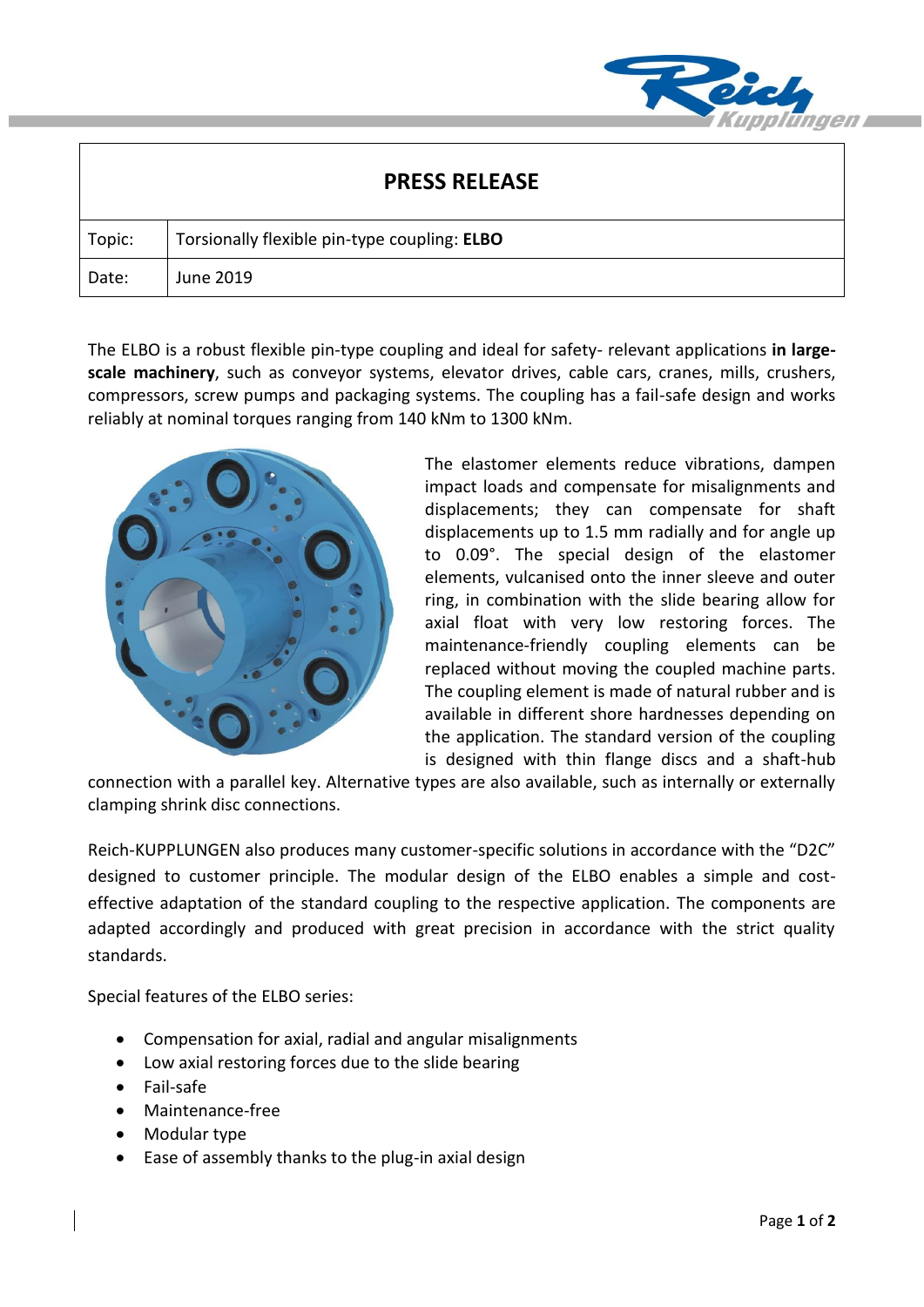

| <b>PRESS RELEASE</b> |                                              |
|----------------------|----------------------------------------------|
| Topic:               | Torsionally flexible pin-type coupling: ELBO |
| Date:                | June 2019                                    |

The ELBO is a robust flexible pin-type coupling and ideal for safety- relevant applications **in largescale machinery**, such as conveyor systems, elevator drives, cable cars, cranes, mills, crushers, compressors, screw pumps and packaging systems. The coupling has a fail-safe design and works reliably at nominal torques ranging from 140 kNm to 1300 kNm.



The elastomer elements reduce vibrations, dampen impact loads and compensate for misalignments and displacements; they can compensate for shaft displacements up to 1.5 mm radially and for angle up to 0.09°. The special design of the elastomer elements, vulcanised onto the inner sleeve and outer ring, in combination with the slide bearing allow for axial float with very low restoring forces. The maintenance-friendly coupling elements can be replaced without moving the coupled machine parts. The coupling element is made of natural rubber and is available in different shore hardnesses depending on the application. The standard version of the coupling is designed with thin flange discs and a shaft-hub

connection with a parallel key. Alternative types are also available, such as internally or externally clamping shrink disc connections.

Reich-KUPPLUNGEN also produces many customer-specific solutions in accordance with the "D2C" designed to customer principle. The modular design of the ELBO enables a simple and costeffective adaptation of the standard coupling to the respective application. The components are adapted accordingly and produced with great precision in accordance with the strict quality standards.

Special features of the ELBO series:

- Compensation for axial, radial and angular misalignments
- Low axial restoring forces due to the slide bearing
- Fail-safe
- Maintenance-free
- Modular type
- Ease of assembly thanks to the plug-in axial design